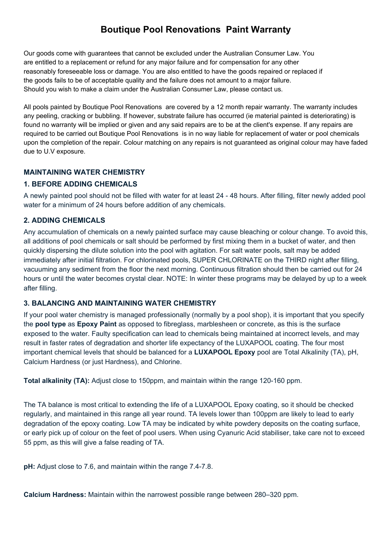# **Boutique Pool Renovations Paint Warranty**

Our goods come with guarantees that cannot be excluded under the Australian Consumer Law. You are entitled to a replacement or refund for any major failure and for compensation for any other reasonably foreseeable loss or damage. You are also entitled to have the goods repaired or replaced if the goods fails to be of acceptable quality and the failure does not amount to a major failure. Should you wish to make a claim under the Australian Consumer Law, please contact us.

All pools painted by Boutique Pool Renovations are covered by a 12 month repair warranty. The warranty includes any peeling, cracking or bubbling. If however, substrate failure has occurred (ie material painted is deteriorating) is found no warranty will be implied or given and any said repairs are to be at the client's expense. If any repairs are required to be carried out Boutique Pool Renovations is in no way liable for replacement of water or pool chemicals upon the completion of the repair. Colour matching on any repairs is not guaranteed as original colour may have faded due to U.V exposure.

## **MAINTAINING WATER CHEMISTRY**

### **1. BEFORE ADDING CHEMICALS**

A newly painted pool should not be filled with water for at least 24 - 48 hours. After filling, filter newly added pool water for a minimum of 24 hours before addition of any chemicals.

### **2. ADDING CHEMICALS**

Any accumulation of chemicals on a newly painted surface may cause bleaching or colour change. To avoid this, all additions of pool chemicals or salt should be performed by first mixing them in a bucket of water, and then quickly dispersing the dilute solution into the pool with agitation. For salt water pools, salt may be added immediately after initial filtration. For chlorinated pools, SUPER CHLORINATE on the THIRD night after filling, vacuuming any sediment from the floor the next morning. Continuous filtration should then be carried out for 24 hours or until the water becomes crystal clear. NOTE: In winter these programs may be delayed by up to a week after filling.

#### **3. BALANCING AND MAINTAINING WATER CHEMISTRY**

If your pool water chemistry is managed professionally (normally by a pool shop), it is important that you specify the **pool type** as **Epoxy Paint** as opposed to fibreglass, marblesheen or concrete, as this is the surface exposed to the water. Faulty specification can lead to chemicals being maintained at incorrect levels, and may result in faster rates of degradation and shorter life expectancy of the LUXAPOOL coating. The four most important chemical levels that should be balanced for a **LUXAPOOL Epoxy** pool are Total Alkalinity (TA), pH, Calcium Hardness (or just Hardness), and Chlorine.

**Total alkalinity (TA):** Adjust close to 150ppm, and maintain within the range 120-160 ppm.

The TA balance is most critical to extending the life of a LUXAPOOL Epoxy coating, so it should be checked regularly, and maintained in this range all year round. TA levels lower than 100ppm are likely to lead to early degradation of the epoxy coating. Low TA may be indicated by white powdery deposits on the coating surface, or early pick up of colour on the feet of pool users. When using Cyanuric Acid stabiliser, take care not to exceed 55 ppm, as this will give a false reading of TA.

**pH:** Adjust close to 7.6, and maintain within the range 7.4-7.8.

**Calcium Hardness:** Maintain within the narrowest possible range between 280–320 ppm.